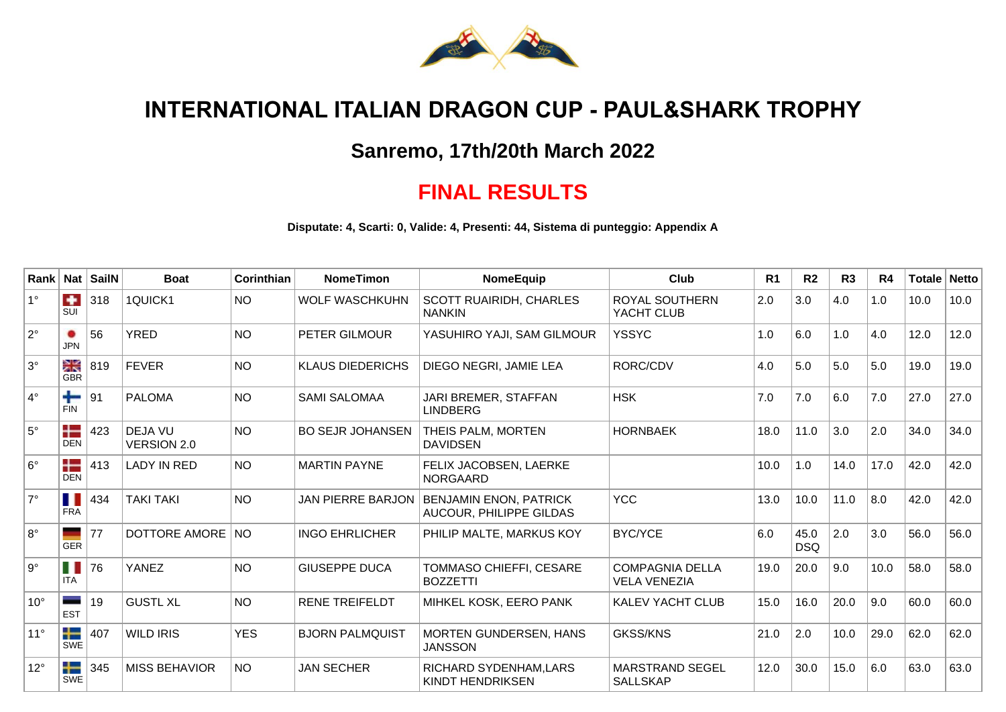

## **INTERNATIONAL ITALIAN DRAGON CUP - PAUL&SHARK TROPHY**

## **Sanremo, 17th/20th March 2022**

## **FINAL RESULTS**

**Disputate: 4, Scarti: 0, Valide: 4, Presenti: 44, Sistema di punteggio: Appendix A**

| Rank         | <b>Nat</b>                     | <b>SailN</b> | <b>Boat</b>                          | Corinthian | <b>NomeTimon</b>         | NomeEquip                                                | Club                                          | R <sub>1</sub> | R <sub>2</sub>     | R3   | R4   | Totale | Netto |
|--------------|--------------------------------|--------------|--------------------------------------|------------|--------------------------|----------------------------------------------------------|-----------------------------------------------|----------------|--------------------|------|------|--------|-------|
| $1^{\circ}$  | ٠<br>SUI                       | 318          | 1QUICK1                              | <b>NO</b>  | <b>WOLF WASCHKUHN</b>    | <b>SCOTT RUAIRIDH, CHARLES</b><br><b>NANKIN</b>          | ROYAL SOUTHERN<br>YACHT CLUB                  | 2.0            | 3.0                | 4.0  | 1.0  | 10.0   | 10.0  |
| $2^{\circ}$  | <b>JPN</b>                     | 56           | <b>YRED</b>                          | <b>NO</b>  | PETER GILMOUR            | YASUHIRO YAJI, SAM GILMOUR                               | <b>YSSYC</b>                                  | 1.0            | 6.0                | 1.0  | 4.0  | 12.0   | 12.0  |
| $3^\circ$    | ≥K<br><b>GBR</b>               | 819          | <b>FEVER</b>                         | <b>NO</b>  | <b>KLAUS DIEDERICHS</b>  | DIEGO NEGRI, JAMIE LEA                                   | RORC/CDV                                      | 4.0            | 5.0                | 5.0  | 5.0  | 19.0   | 19.0  |
| $4^\circ$    | ╇<br><b>FIN</b>                | 91           | <b>PALOMA</b>                        | <b>NO</b>  | <b>SAMI SALOMAA</b>      | JARI BREMER, STAFFAN<br><b>LINDBERG</b>                  | <b>HSK</b>                                    | 7.0            | 7.0                | 6.0  | 7.0  | 27.0   | 27.0  |
| $5^{\circ}$  | a ba<br>п. н.<br><b>DEN</b>    | 423          | <b>DEJA VU</b><br><b>VERSION 2.0</b> | <b>NO</b>  | <b>BO SEJR JOHANSEN</b>  | THEIS PALM, MORTEN<br><b>DAVIDSEN</b>                    | <b>HORNBAEK</b>                               | 18.0           | 11.0               | 3.0  | 2.0  | 34.0   | 34.0  |
| $6^{\circ}$  | a ba<br>- -<br><b>DEN</b>      | 413          | <b>LADY IN RED</b>                   | <b>NO</b>  | <b>MARTIN PAYNE</b>      | FELIX JACOBSEN, LAERKE<br><b>NORGAARD</b>                |                                               | 10.0           | 1.0                | 14.0 | 17.0 | 42.0   | 42.0  |
| $7^\circ$    | Ш<br><b>FRA</b>                | 434          | <b>TAKI TAKI</b>                     | <b>NO</b>  | <b>JAN PIERRE BARJON</b> | <b>BENJAMIN ENON, PATRICK</b><br>AUCOUR, PHILIPPE GILDAS | <b>YCC</b>                                    | 13.0           | 10.0               | 11.0 | 8.0  | 42.0   | 42.0  |
| $8^{\circ}$  | <b>GER</b>                     | 77           | DOTTORE AMORE                        | <b>NO</b>  | <b>INGO EHRLICHER</b>    | PHILIP MALTE, MARKUS KOY                                 | <b>BYC/YCE</b>                                | 6.0            | 45.0<br><b>DSQ</b> | 2.0  | 3.0  | 56.0   | 56.0  |
| $9^{\circ}$  | H<br><b>ITA</b>                | 76           | YANEZ                                | <b>NO</b>  | <b>GIUSEPPE DUCA</b>     | TOMMASO CHIEFFI, CESARE<br><b>BOZZETTI</b>               | <b>COMPAGNIA DELLA</b><br><b>VELA VENEZIA</b> | 19.0           | 20.0               | 9.0  | 10.0 | 58.0   | 58.0  |
| $10^{\circ}$ | <b>EST</b>                     | 19           | <b>GUSTL XL</b>                      | <b>NO</b>  | <b>RENE TREIFELDT</b>    | MIHKEL KOSK, EERO PANK                                   | <b>KALEV YACHT CLUB</b>                       | 15.0           | 16.0               | 20.0 | 9.0  | 60.0   | 60.0  |
| $11^{\circ}$ | ┸<br>$\mathbf{r}$<br>SWE       | 407          | <b>WILD IRIS</b>                     | <b>YES</b> | <b>BJORN PALMQUIST</b>   | <b>MORTEN GUNDERSEN, HANS</b><br><b>JANSSON</b>          | <b>GKSS/KNS</b>                               | 21.0           | 2.0                | 10.0 | 29.0 | 62.0   | 62.0  |
| $12^{\circ}$ | ட<br><b>The Company</b><br>SWE | 345          | <b>MISS BEHAVIOR</b>                 | <b>NO</b>  | <b>JAN SECHER</b>        | RICHARD SYDENHAM, LARS<br><b>KINDT HENDRIKSEN</b>        | <b>MARSTRAND SEGEL</b><br><b>SALLSKAP</b>     | 12.0           | 30.0               | 15.0 | 6.0  | 63.0   | 63.0  |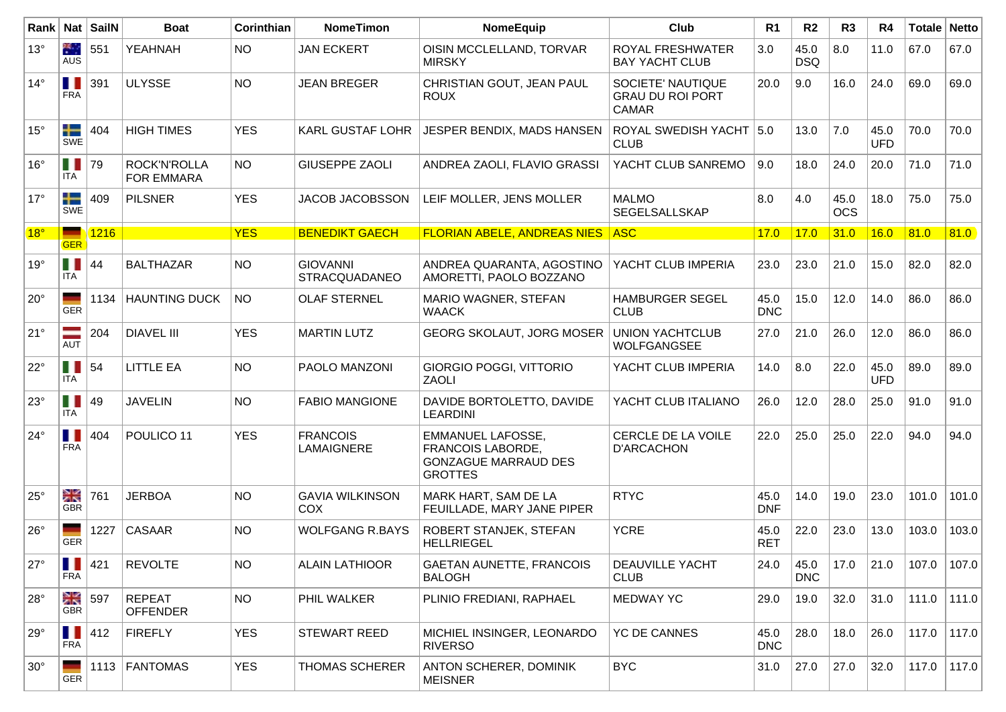| Rank         |                        | Nat SailN | <b>Boat</b>                       | Corinthian | <b>NomeTimon</b>                        | NomeEquip                                                                                             | Club                                                         | R <sub>1</sub>     | R <sub>2</sub>     | R <sub>3</sub>     | R4                 | Totale Netto |       |
|--------------|------------------------|-----------|-----------------------------------|------------|-----------------------------------------|-------------------------------------------------------------------------------------------------------|--------------------------------------------------------------|--------------------|--------------------|--------------------|--------------------|--------------|-------|
| $13^\circ$   | 樂<br>AUS               | 551       | <b>YEAHNAH</b>                    | NO.        | <b>JAN ECKERT</b>                       | OISIN MCCLELLAND, TORVAR<br><b>MIRSKY</b>                                                             | <b>ROYAL FRESHWATER</b><br><b>BAY YACHT CLUB</b>             | 3.0                | 45.0<br><b>DSQ</b> | 8.0                | 11.0               | 67.0         | 67.0  |
| $14^{\circ}$ | П<br><b>FRA</b>        | 391       | <b>ULYSSE</b>                     | <b>NO</b>  | <b>JEAN BREGER</b>                      | CHRISTIAN GOUT, JEAN PAUL<br><b>ROUX</b>                                                              | SOCIETE' NAUTIQUE<br><b>GRAU DU ROI PORT</b><br><b>CAMAR</b> | 20.0               | 9.0                | 16.0               | 24.0               | 69.0         | 69.0  |
| $15^{\circ}$ | ╇<br>SWE               | 404       | <b>HIGH TIMES</b>                 | <b>YES</b> | <b>KARL GUSTAF LOHR</b>                 | JESPER BENDIX, MADS HANSEN                                                                            | ROYAL SWEDISH YACHT   5.0<br><b>CLUB</b>                     |                    | 13.0               | 7.0                | 45.0<br><b>UFD</b> | 70.0         | 70.0  |
| $16^{\circ}$ | П<br>ITA               | 79        | ROCK'N'ROLLA<br><b>FOR EMMARA</b> | NO.        | <b>GIUSEPPE ZAOLI</b>                   | ANDREA ZAOLI, FLAVIO GRASSI                                                                           | YACHT CLUB SANREMO                                           | 9.0                | 18.0               | 24.0               | 20.0               | 71.0         | 71.0  |
| $17^{\circ}$ | ┿<br>SWE               | 409       | <b>PILSNER</b>                    | <b>YES</b> | JACOB JACOBSSON                         | LEIF MOLLER, JENS MOLLER                                                                              | <b>MALMO</b><br>SEGELSALLSKAP                                | 8.0                | 4.0                | 45.0<br><b>OCS</b> | 18.0               | 75.0         | 75.0  |
| 18°          |                        | 1216      |                                   | <b>YES</b> | <b>BENEDIKT GAECH</b>                   | <b>FLORIAN ABELE, ANDREAS NIES</b>                                                                    | <b>ASC</b>                                                   | 17.0               | 17.0               | 31.0               | 16.0               | 81.0         | 81.0  |
| 19°          | <b>GER</b><br>П<br>ITA | 44        | <b>BALTHAZAR</b>                  | <b>NO</b>  | <b>GIOVANNI</b><br><b>STRACQUADANEO</b> | ANDREA QUARANTA, AGOSTINO<br>AMORETTI, PAOLO BOZZANO                                                  | YACHT CLUB IMPERIA                                           | 23.0               | 23.0               | 21.0               | 15.0               | 82.0         | 82.0  |
| $20^{\circ}$ | <b>GER</b>             | 1134      | <b>HAUNTING DUCK</b>              | <b>NO</b>  | <b>OLAF STERNEL</b>                     | MARIO WAGNER, STEFAN<br><b>WAACK</b>                                                                  | <b>HAMBURGER SEGEL</b><br><b>CLUB</b>                        | 45.0<br><b>DNC</b> | 15.0               | 12.0               | 14.0               | 86.0         | 86.0  |
| $21^{\circ}$ | AUT                    | 204       | <b>DIAVEL III</b>                 | <b>YES</b> | <b>MARTIN LUTZ</b>                      | <b>GEORG SKOLAUT, JORG MOSER</b>                                                                      | <b>UNION YACHTCLUB</b><br><b>WOLFGANGSEE</b>                 | 27.0               | 21.0               | 26.0               | 12.0               | 86.0         | 86.0  |
| $22^{\circ}$ | П<br><b>ITA</b>        | 54        | <b>LITTLE EA</b>                  | <b>NO</b>  | PAOLO MANZONI                           | GIORGIO POGGI, VITTORIO<br><b>ZAOLI</b>                                                               | YACHT CLUB IMPERIA                                           | 14.0               | 8.0                | 22.0               | 45.0<br><b>UFD</b> | 89.0         | 89.0  |
| $23^\circ$   | $\blacksquare$<br>ITA  | 49        | <b>JAVELIN</b>                    | <b>NO</b>  | <b>FABIO MANGIONE</b>                   | DAVIDE BORTOLETTO, DAVIDE<br><b>LEARDINI</b>                                                          | YACHT CLUB ITALIANO                                          | 26.0               | 12.0               | 28.0               | 25.0               | 91.0         | 91.0  |
| $24^{\circ}$ | П<br><b>FRA</b>        | 404       | POULICO 11                        | <b>YES</b> | <b>FRANCOIS</b><br>LAMAIGNERE           | <b>EMMANUEL LAFOSSE,</b><br><b>FRANCOIS LABORDE,</b><br><b>GONZAGUE MARRAUD DES</b><br><b>GROTTES</b> | CERCLE DE LA VOILE<br><b>D'ARCACHON</b>                      | 22.0               | 25.0               | 25.0               | 22.0               | 94.0         | 94.0  |
| $25^\circ$   | ≳k<br><b>GBR</b>       | 761       | <b>JERBOA</b>                     | <b>NO</b>  | <b>GAVIA WILKINSON</b><br>COX           | MARK HART, SAM DE LA<br>FEUILLADE, MARY JANE PIPER                                                    | <b>RTYC</b>                                                  | 45.0<br><b>DNF</b> | 14.0               | 19.0               | 23.0               | 101.0        | 101.0 |
| $26^{\circ}$ | <b>GER</b>             | 1227      | CASAAR                            | <b>NO</b>  | <b>WOLFGANG R.BAYS</b>                  | ROBERT STANJEK, STEFAN<br><b>HELLRIEGEL</b>                                                           | <b>YCRE</b>                                                  | 45.0<br><b>RET</b> | 22.0               | 23.0               | 13.0               | 103.0        | 103.0 |
| $27^\circ$   | Ш<br><b>FRA</b>        | 421       | <b>REVOLTE</b>                    | <b>NO</b>  | <b>ALAIN LATHIOOR</b>                   | <b>GAETAN AUNETTE, FRANCOIS</b><br><b>BALOGH</b>                                                      | <b>DEAUVILLE YACHT</b><br><b>CLUB</b>                        | 24.0               | 45.0<br><b>DNC</b> | 17.0               | 21.0               | 107.0        | 107.0 |
| $28^\circ$   | XK<br><b>GBR</b>       | 597       | REPEAT<br><b>OFFENDER</b>         | <b>NO</b>  | PHIL WALKER                             | PLINIO FREDIANI, RAPHAEL                                                                              | <b>MEDWAY YC</b>                                             | 29.0               | 19.0               | 32.0               | 31.0               | 111.0        | 111.0 |
| $29^\circ$   | Ш<br><b>FRA</b>        | 412       | <b>FIREFLY</b>                    | <b>YES</b> | <b>STEWART REED</b>                     | MICHIEL INSINGER, LEONARDO<br><b>RIVERSO</b>                                                          | <b>YC DE CANNES</b>                                          | 45.0<br><b>DNC</b> | 28.0               | 18.0               | 26.0               | 117.0        | 117.0 |
| $30^\circ$   | GER                    |           | 1113   FANTOMAS                   | <b>YES</b> | <b>THOMAS SCHERER</b>                   | ANTON SCHERER, DOMINIK<br><b>MEISNER</b>                                                              | <b>BYC</b>                                                   | 31.0               | 27.0               | 27.0               | 32.0               | 117.0        | 117.0 |